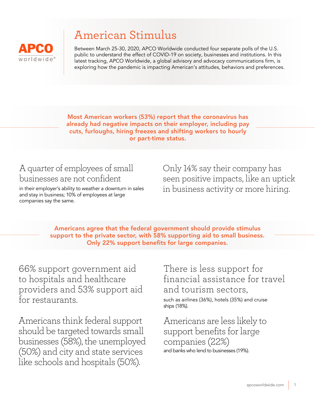

# American Stimulus

Between March 25-30, 2020, APCO Worldwide conducted four separate polls of the U.S. public to understand the effect of COVID-19 on society, businesses and institutions. In this latest tracking, APCO Worldwide, a global advisory and advocacy communications firm, is exploring how the pandemic is impacting American's attitudes, behaviors and preferences.

Most American workers (53%) report that the coronavirus has already had negative impacts on their employer, including pay cuts, furloughs, hiring freezes and shifting workers to hourly or part-time status.

## A quarter of employees of small businesses are not confident

in their employer's ability to weather a downturn in sales and stay in business; 10% of employees at large companies say the same.

Only 14% say their company has seen positive impacts, like an uptick in business activity or more hiring.

Americans agree that the federal government should provide stimulus support to the private sector, with 58% supporting aid to small business. Only 22% support benefits for large companies.

66% support government aid to hospitals and healthcare providers and 53% support aid for restaurants.

Americans think federal support should be targeted towards small businesses (58%), the unemployed (50%) and city and state services like schools and hospitals (50%).

There is less support for financial assistance for travel and tourism sectors,

such as airlines (36%), hotels (35%) and cruise ships (18%).

Americans are less likely to support benefits for large companies (22%) and banks who lend to businesses (19%).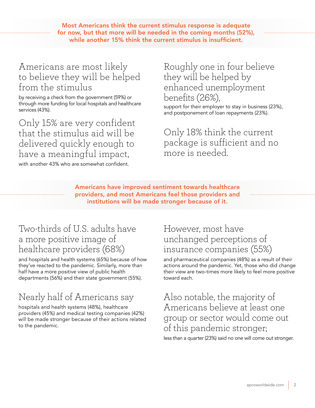Most Americans think the current stimulus response is adequate for now, but that more will be needed in the coming months (52%), while another 15% think the current stimulus is insufficient.

#### Americans are most likely to believe they will be helped from the stimulus

by receiving a check from the government (59%) or through more funding for local hospitals and healthcare services (43%).

Only 15% are very confident that the stimulus aid will be delivered quickly enough to have a meaningful impact,

with another 43% who are somewhat confident.

#### Roughly one in four believe they will be helped by enhanced unemployment benefits (26%), support for their employer to stay in business (23%),

and postponement of loan repayments (23%).

Only 18% think the current package is sufficient and no more is needed.

Americans have improved sentiment towards healthcare providers, and most Americans feel those providers and institutions will be made stronger because of it.

### Two-thirds of U.S. adults have a more positive image of healthcare providers (68%)

and hospitals and health systems (65%) because of how they've reacted to the pandemic. Similarly, more than half have a more positive view of public health departments (56%) and their state government (55%).

# Nearly half of Americans say

hospitals and health systems (48%), healthcare providers (45%) and medical testing companies (42%) will be made stronger because of their actions related to the pandemic.

#### However, most have unchanged perceptions of insurance companies (55%)

and pharmaceutical companies (48%) as a result of their actions around the pandemic. Yet, those who did change their view are two-times more likely to feel more positive toward each.

Also notable, the majority of Americans believe at least one group or sector would come out of this pandemic stronger;

less than a quarter (23%) said no one will come out stronger.